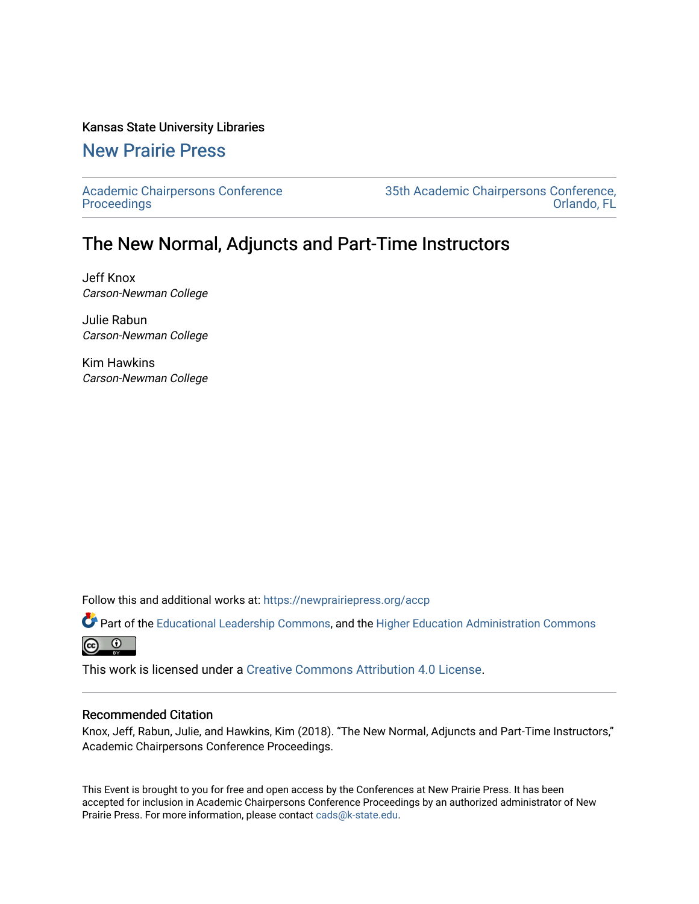### Kansas State University Libraries

# [New Prairie Press](https://newprairiepress.org/)

[Academic Chairpersons Conference](https://newprairiepress.org/accp)  **Proceedings** 

[35th Academic Chairpersons Conference,](https://newprairiepress.org/accp/2018)  [Orlando, FL](https://newprairiepress.org/accp/2018) 

# The New Normal, Adjuncts and Part-Time Instructors

Jeff Knox Carson-Newman College

Julie Rabun Carson-Newman College

Kim Hawkins Carson-Newman College

Follow this and additional works at: [https://newprairiepress.org/accp](https://newprairiepress.org/accp?utm_source=newprairiepress.org%2Faccp%2F2018%2Fcolleagues%2F4&utm_medium=PDF&utm_campaign=PDFCoverPages) 

Part of the [Educational Leadership Commons,](http://network.bepress.com/hgg/discipline/1230?utm_source=newprairiepress.org%2Faccp%2F2018%2Fcolleagues%2F4&utm_medium=PDF&utm_campaign=PDFCoverPages) and the [Higher Education Administration Commons](http://network.bepress.com/hgg/discipline/791?utm_source=newprairiepress.org%2Faccp%2F2018%2Fcolleagues%2F4&utm_medium=PDF&utm_campaign=PDFCoverPages)  $\odot$  $\odot$ 

This work is licensed under a [Creative Commons Attribution 4.0 License](https://creativecommons.org/licenses/by/4.0/).

#### Recommended Citation

Knox, Jeff, Rabun, Julie, and Hawkins, Kim (2018). "The New Normal, Adjuncts and Part-Time Instructors," Academic Chairpersons Conference Proceedings.

This Event is brought to you for free and open access by the Conferences at New Prairie Press. It has been accepted for inclusion in Academic Chairpersons Conference Proceedings by an authorized administrator of New Prairie Press. For more information, please contact [cads@k-state.edu.](mailto:cads@k-state.edu)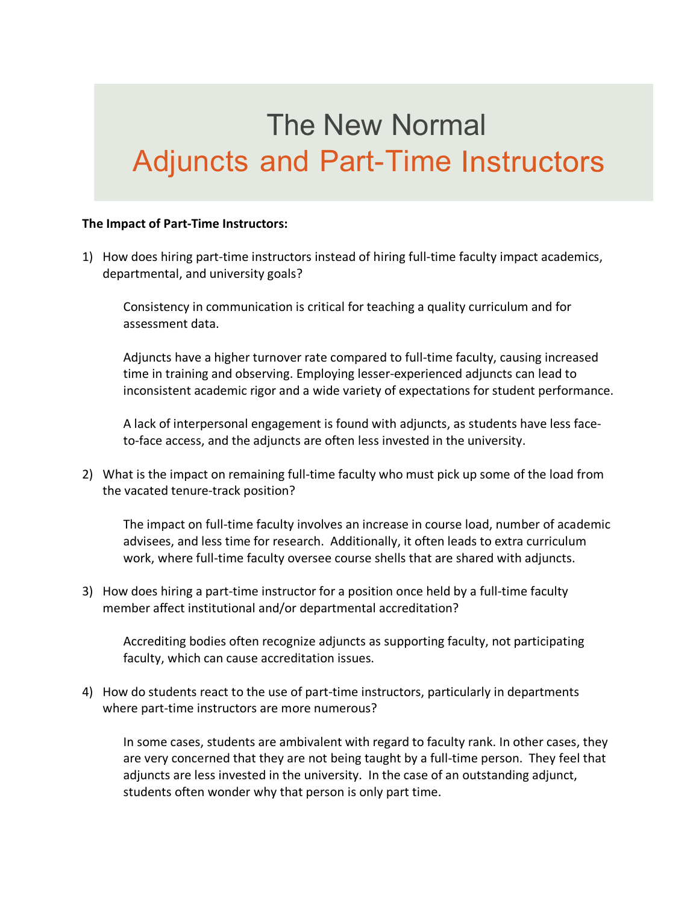# **The New Normal** Adjuncts and Part-Time Instructors

### **The Impact of Part-Time Instructors:**

1) How does hiring part-time instructors instead of hiring full-time faculty impact academics, departmental, and university goals?

Consistency in communication is critical for teaching a quality curriculum and for assessment data.

Adjuncts have a higher turnover rate compared to full-time faculty, causing increased time in training and observing. Employing lesser-experienced adjuncts can lead to inconsistent academic rigor and a wide variety of expectations for student performance.

A lack of interpersonal engagement is found with adjuncts, as students have less faceto-face access, and the adjuncts are often less invested in the university.

2) What is the impact on remaining full-time faculty who must pick up some of the load from the vacated tenure-track position?

The impact on full-time faculty involves an increase in course load, number of academic advisees, and less time for research. Additionally, it often leads to extra curriculum work, where full-time faculty oversee course shells that are shared with adjuncts.

3) How does hiring a part-time instructor for a position once held by a full-time faculty member affect institutional and/or departmental accreditation?

Accrediting bodies often recognize adjuncts as supporting faculty, not participating faculty, which can cause accreditation issues.

4) How do students react to the use of part-time instructors, particularly in departments where part-time instructors are more numerous?

In some cases, students are ambivalent with regard to faculty rank. In other cases, they are very concerned that they are not being taught by a full-time person. They feel that adjuncts are less invested in the university. In the case of an outstanding adjunct, students often wonder why that person is only part time.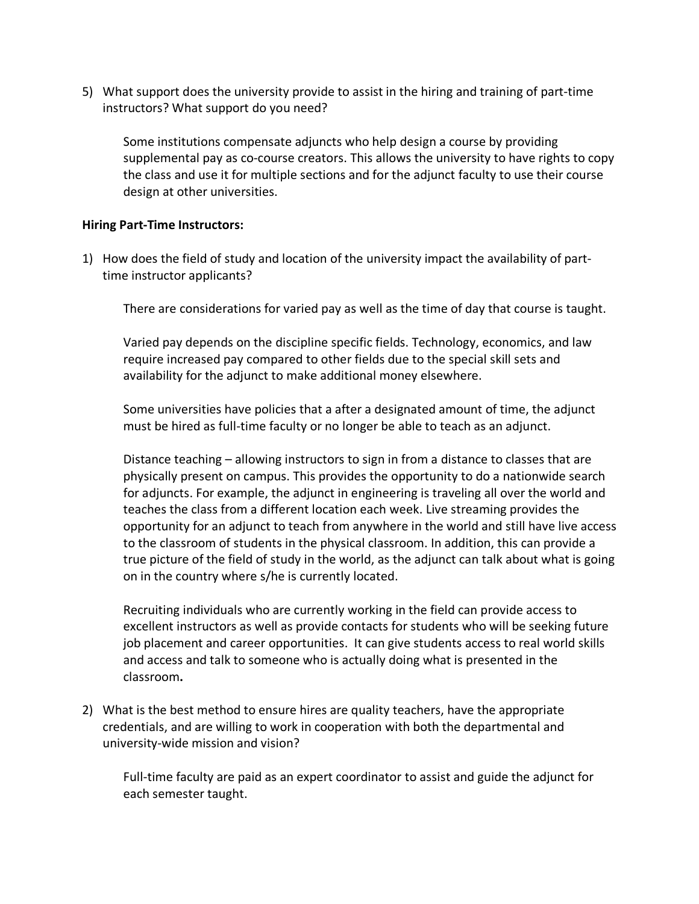5) What support does the university provide to assist in the hiring and training of part-time instructors? What support do you need?

Some institutions compensate adjuncts who help design a course by providing supplemental pay as co-course creators. This allows the university to have rights to copy the class and use it for multiple sections and for the adjunct faculty to use their course design at other universities.

## **Hiring Part-Time Instructors:**

1) How does the field of study and location of the university impact the availability of parttime instructor applicants?

There are considerations for varied pay as well as the time of day that course is taught.

Varied pay depends on the discipline specific fields. Technology, economics, and law require increased pay compared to other fields due to the special skill sets and availability for the adjunct to make additional money elsewhere.

Some universities have policies that a after a designated amount of time, the adjunct must be hired as full-time faculty or no longer be able to teach as an adjunct.

Distance teaching – allowing instructors to sign in from a distance to classes that are physically present on campus. This provides the opportunity to do a nationwide search for adjuncts. For example, the adjunct in engineering is traveling all over the world and teaches the class from a different location each week. Live streaming provides the opportunity for an adjunct to teach from anywhere in the world and still have live access to the classroom of students in the physical classroom. In addition, this can provide a true picture of the field of study in the world, as the adjunct can talk about what is going on in the country where s/he is currently located.

Recruiting individuals who are currently working in the field can provide access to excellent instructors as well as provide contacts for students who will be seeking future job placement and career opportunities. It can give students access to real world skills and access and talk to someone who is actually doing what is presented in the classroom**.** 

2) What is the best method to ensure hires are quality teachers, have the appropriate credentials, and are willing to work in cooperation with both the departmental and university-wide mission and vision?

Full-time faculty are paid as an expert coordinator to assist and guide the adjunct for each semester taught.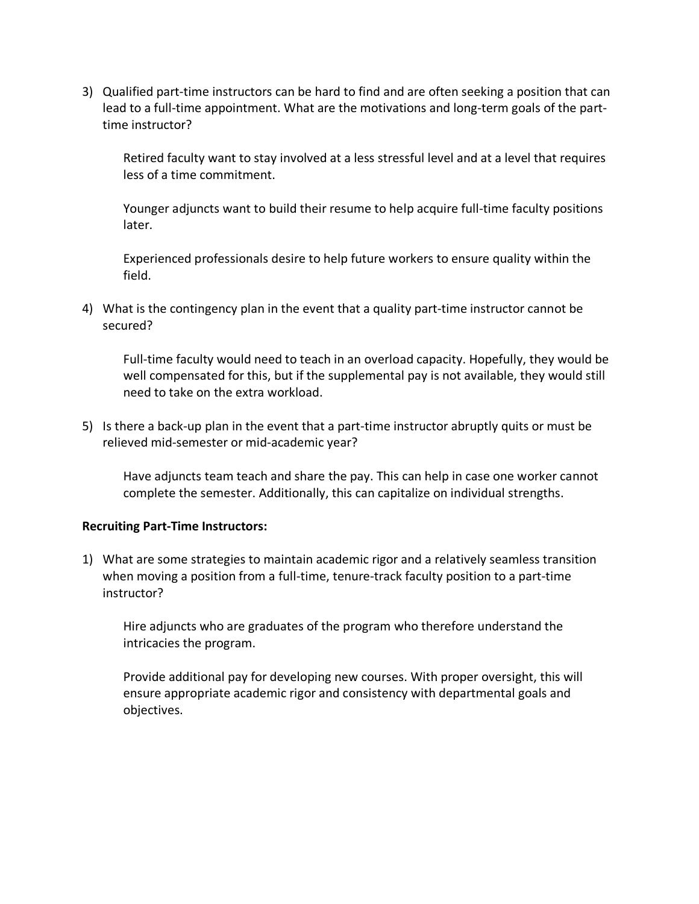3) Qualified part-time instructors can be hard to find and are often seeking a position that can lead to a full-time appointment. What are the motivations and long-term goals of the parttime instructor?

Retired faculty want to stay involved at a less stressful level and at a level that requires less of a time commitment.

Younger adjuncts want to build their resume to help acquire full-time faculty positions later.

Experienced professionals desire to help future workers to ensure quality within the field.

4) What is the contingency plan in the event that a quality part-time instructor cannot be secured?

Full-time faculty would need to teach in an overload capacity. Hopefully, they would be well compensated for this, but if the supplemental pay is not available, they would still need to take on the extra workload.

5) Is there a back-up plan in the event that a part-time instructor abruptly quits or must be relieved mid-semester or mid-academic year?

Have adjuncts team teach and share the pay. This can help in case one worker cannot complete the semester. Additionally, this can capitalize on individual strengths.

### **Recruiting Part-Time Instructors:**

1) What are some strategies to maintain academic rigor and a relatively seamless transition when moving a position from a full-time, tenure-track faculty position to a part-time instructor?

Hire adjuncts who are graduates of the program who therefore understand the intricacies the program.

Provide additional pay for developing new courses. With proper oversight, this will ensure appropriate academic rigor and consistency with departmental goals and objectives.